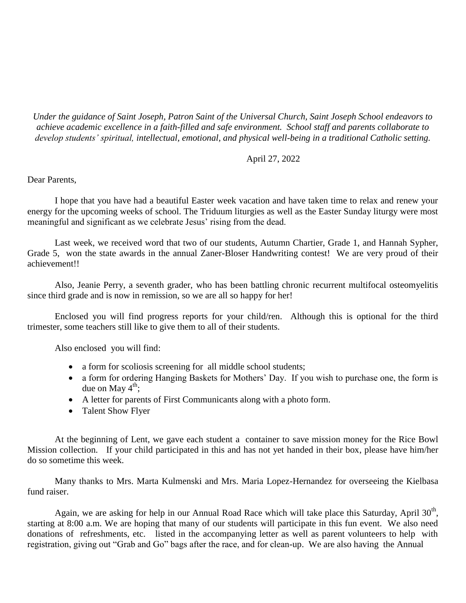*Under the guidance of Saint Joseph, Patron Saint of the Universal Church, Saint Joseph School endeavors to achieve academic excellence in a faith-filled and safe environment. School staff and parents collaborate to develop students' spiritual, intellectual, emotional, and physical well-being in a traditional Catholic setting.*

## April 27, 2022

Dear Parents,

I hope that you have had a beautiful Easter week vacation and have taken time to relax and renew your energy for the upcoming weeks of school. The Triduum liturgies as well as the Easter Sunday liturgy were most meaningful and significant as we celebrate Jesus' rising from the dead.

Last week, we received word that two of our students, Autumn Chartier, Grade 1, and Hannah Sypher, Grade 5, won the state awards in the annual Zaner-Bloser Handwriting contest! We are very proud of their achievement!!

Also, Jeanie Perry, a seventh grader, who has been battling chronic recurrent multifocal osteomyelitis since third grade and is now in remission, so we are all so happy for her!

Enclosed you will find progress reports for your child/ren. Although this is optional for the third trimester, some teachers still like to give them to all of their students.

Also enclosed you will find:

- a form for scoliosis screening for all middle school students;
- a form for ordering Hanging Baskets for Mothers' Day. If you wish to purchase one, the form is due on May  $4^{\text{th}}$ ;
- A letter for parents of First Communicants along with a photo form.
- Talent Show Flyer

At the beginning of Lent, we gave each student a container to save mission money for the Rice Bowl Mission collection. If your child participated in this and has not yet handed in their box, please have him/her do so sometime this week.

Many thanks to Mrs. Marta Kulmenski and Mrs. Maria Lopez-Hernandez for overseeing the Kielbasa fund raiser.

Again, we are asking for help in our Annual Road Race which will take place this Saturday, April  $30<sup>th</sup>$ , starting at 8:00 a.m. We are hoping that many of our students will participate in this fun event. We also need donations of refreshments, etc. listed in the accompanying letter as well as parent volunteers to help with registration, giving out "Grab and Go" bags after the race, and for clean-up. We are also having the Annual